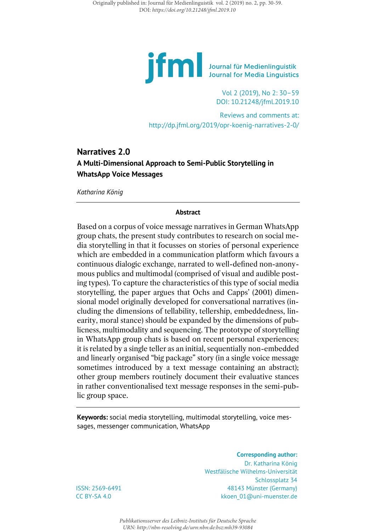

Vol 2 (2019), No 2: 30–59 DOI: 10.21248/jfml.2019.10

Reviews and comments at: <http://dp.jfml.org/2019/opr-koenig-narratives-2-0/>

# **Narratives 2.0 A Multi-Dimensional Approach to Semi-Public Storytelling in WhatsApp Voice Messages**

*Katharina König*

### **Abstract**

Based on a corpus of voice message narratives in German WhatsApp group chats, the present study contributes to research on social media storytelling in that it focusses on stories of personal experience which are embedded in a communication platform which favours a continuous dialogic exchange, narrated to well-defined non-anonymous publics and multimodal (comprised of visual and audible posting types). To capture the characteristics of this type of social media storytelling, the paper argues that Ochs and Capps' (2001) dimensional model originally developed for conversational narratives (including the dimensions of tellability, tellership, embeddedness, linearity, moral stance) should be expanded by the dimensions of publicness, multimodality and sequencing. The prototype of storytelling in WhatsApp group chats is based on recent personal experiences; it is related by a single teller as an initial, sequentially non-embedded and linearly organised "big package" story (in a single voice message sometimes introduced by a text message containing an abstract); other group members routinely document their evaluative stances in rather conventionalised text message responses in the semi-public group space.

**Keywords:** social media storytelling, multimodal storytelling, voice messages, messenger communication, WhatsApp

> **Corresponding author:** Dr. Katharina König Westfälische Wilhelms-Universität Schlossplatz 34 48143 Münster (Germany) kkoen 01@uni-muenster.de

ISSN: 2569-6491 CC BY-SA 4.0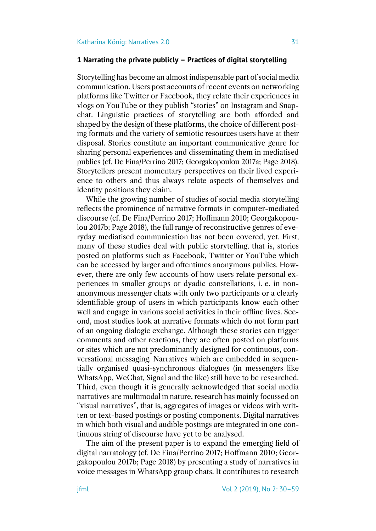# **1 Narrating the private publicly – Practices of digital storytelling**

Storytelling has become an almost indispensable part of social media communication. Users post accounts of recent events on networking platforms like Twitter or Facebook, they relate their experiences in vlogs on YouTube or they publish "stories" on Instagram and Snapchat. Linguistic practices of storytelling are both afforded and shaped by the design of these platforms, the choice of different posting formats and the variety of semiotic resources users have at their disposal. Stories constitute an important communicative genre for sharing personal experiences and disseminating them in mediatised publics (cf. De Fina/Perrino 2017; Georgakopoulou 2017a; Page 2018). Storytellers present momentary perspectives on their lived experience to others and thus always relate aspects of themselves and identity positions they claim.

While the growing number of studies of social media storytelling reflects the prominence of narrative formats in computer-mediated discourse (cf. De Fina/Perrino 2017; Hoffmann 2010; Georgakopoulou 2017b; Page 2018), the full range of reconstructive genres of everyday mediatised communication has not been covered, yet. First, many of these studies deal with public storytelling, that is, stories posted on platforms such as Facebook, Twitter or YouTube which can be accessed by larger and oftentimes anonymous publics. However, there are only few accounts of how users relate personal experiences in smaller groups or dyadic constellations, i. e. in nonanonymous messenger chats with only two participants or a clearly identifiable group of users in which participants know each other well and engage in various social activities in their offline lives. Second, most studies look at narrative formats which do not form part of an ongoing dialogic exchange. Although these stories can trigger comments and other reactions, they are often posted on platforms or sites which are not predominantly designed for continuous, conversational messaging. Narratives which are embedded in sequentially organised quasi-synchronous dialogues (in messengers like WhatsApp, WeChat, Signal and the like) still have to be researched. Third, even though it is generally acknowledged that social media narratives are multimodal in nature, research has mainly focussed on "visual narratives", that is, aggregates of images or videos with written or text-based postings or posting components. Digital narratives in which both visual and audible postings are integrated in one continuous string of discourse have yet to be analysed.

The aim of the present paper is to expand the emerging field of digital narratology (cf. De Fina/Perrino 2017; Hoffmann 2010; Georgakopoulou 2017b; Page 2018) by presenting a study of narratives in voice messages in WhatsApp group chats. It contributes to research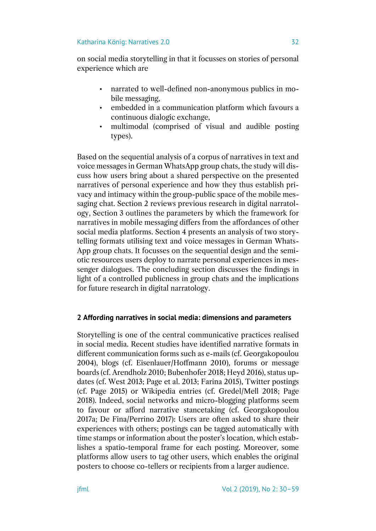on social media storytelling in that it focusses on stories of personal experience which are

- narrated to well-defined non-anonymous publics in mobile messaging,
- embedded in a communication platform which favours a continuous dialogic exchange,
- multimodal (comprised of visual and audible posting types).

Based on the sequential analysis of a corpus of narratives in text and voice messages in German WhatsApp group chats, the study will discuss how users bring about a shared perspective on the presented narratives of personal experience and how they thus establish privacy and intimacy within the group-public space of the mobile messaging chat. Section 2 reviews previous research in digital narratology, Section 3 outlines the parameters by which the framework for narratives in mobile messaging differs from the affordances of other social media platforms. Section 4 presents an analysis of two storytelling formats utilising text and voice messages in German Whats-App group chats. It focusses on the sequential design and the semiotic resources users deploy to narrate personal experiences in messenger dialogues. The concluding section discusses the findings in light of a controlled publicness in group chats and the implications for future research in digital narratology.

# **2 Affording narratives in social media: dimensions and parameters**

Storytelling is one of the central communicative practices realised in social media. Recent studies have identified narrative formats in different communication forms such as e-mails (cf. Georgakopoulou 2004), blogs (cf. Eisenlauer/Hoffmann 2010), forums or message boards (cf. Arendholz 2010; Bubenhofer 2018; Heyd 2016), status updates (cf. West 2013; Page et al. 2013; Farina 2015), Twitter postings (cf. Page 2015) or Wikipedia entries (cf. Gredel/Mell 2018; Page 2018). Indeed, social networks and micro-blogging platforms seem to favour or afford narrative stancetaking (cf. Georgakopoulou 2017a; De Fina/Perrino 2017): Users are often asked to share their experiences with others; postings can be tagged automatically with time stamps or information about the poster's location, which establishes a spatio-temporal frame for each posting. Moreover, some platforms allow users to tag other users, which enables the original posters to choose co-tellers or recipients from a larger audience.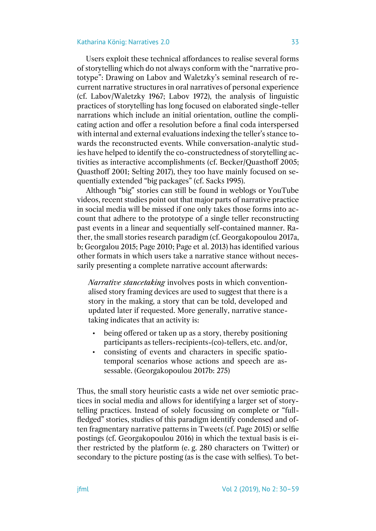Users exploit these technical affordances to realise several forms of storytelling which do not always conform with the "narrative prototype": Drawing on Labov and Waletzky's seminal research of recurrent narrative structures in oral narratives of personal experience (cf. Labov/Waletzky 1967; Labov 1972), the analysis of linguistic practices of storytelling has long focused on elaborated single-teller narrations which include an initial orientation, outline the complicating action and offer a resolution before a final coda interspersed with internal and external evaluations indexing the teller's stance towards the reconstructed events. While conversation-analytic studies have helped to identify the co-constructedness of storytelling activities as interactive accomplishments (cf. Becker/Quasthoff 2005; Quasthoff 2001; Selting 2017), they too have mainly focused on sequentially extended "big packages" (cf. Sacks 1995).

Although "big" stories can still be found in weblogs or YouTube videos, recent studies point out that major parts of narrative practice in social media will be missed if one only takes those forms into account that adhere to the prototype of a single teller reconstructing past events in a linear and sequentially self-contained manner. Rather, the small stories research paradigm (cf. Georgakopoulou 2017a, b; Georgalou 2015; Page 2010; Page et al. 2013) has identified various other formats in which users take a narrative stance without necessarily presenting a complete narrative account afterwards:

*Narrative stancetaking* involves posts in which conventionalised story framing devices are used to suggest that there is a story in the making, a story that can be told, developed and updated later if requested. More generally, narrative stancetaking indicates that an activity is:

- being offered or taken up as a story, thereby positioning participants as tellers-recipients-(co)-tellers, etc. and/or,
- consisting of events and characters in specific spatiotemporal scenarios whose actions and speech are assessable. (Georgakopoulou 2017b: 275)

Thus, the small story heuristic casts a wide net over semiotic practices in social media and allows for identifying a larger set of storytelling practices. Instead of solely focussing on complete or "fullfledged" stories, studies of this paradigm identify condensed and often fragmentary narrative patterns in Tweets (cf. Page 2015) or selfie postings (cf. Georgakopoulou 2016) in which the textual basis is either restricted by the platform (e. g. 280 characters on Twitter) or secondary to the picture posting (as is the case with selfies). To bet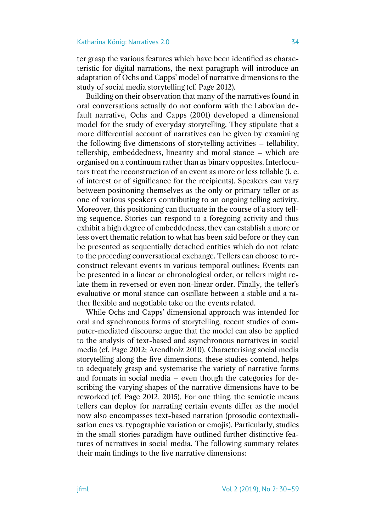ter grasp the various features which have been identified as characteristic for digital narrations, the next paragraph will introduce an adaptation of Ochs and Capps' model of narrative dimensions to the study of social media storytelling (cf. Page 2012).

Building on their observation that many of the narratives found in oral conversations actually do not conform with the Labovian default narrative, Ochs and Capps (2001) developed a dimensional model for the study of everyday storytelling. They stipulate that a more differential account of narratives can be given by examining the following five dimensions of storytelling activities – tellability, tellership, embeddedness, linearity and moral stance – which are organised on a continuum rather than as binary opposites. Interlocutors treat the reconstruction of an event as more or less tellable (i. e. of interest or of significance for the recipients). Speakers can vary between positioning themselves as the only or primary teller or as one of various speakers contributing to an ongoing telling activity. Moreover, this positioning can fluctuate in the course of a story telling sequence. Stories can respond to a foregoing activity and thus exhibit a high degree of embeddedness, they can establish a more or less overt thematic relation to what has been said before or they can be presented as sequentially detached entities which do not relate to the preceding conversational exchange. Tellers can choose to reconstruct relevant events in various temporal outlines: Events can be presented in a linear or chronological order, or tellers might relate them in reversed or even non-linear order. Finally, the teller's evaluative or moral stance can oscillate between a stable and a rather flexible and negotiable take on the events related.

While Ochs and Capps' dimensional approach was intended for oral and synchronous forms of storytelling, recent studies of computer-mediated discourse argue that the model can also be applied to the analysis of text-based and asynchronous narratives in social media (cf. Page 2012; Arendholz 2010). Characterising social media storytelling along the five dimensions, these studies contend, helps to adequately grasp and systematise the variety of narrative forms and formats in social media – even though the categories for describing the varying shapes of the narrative dimensions have to be reworked (cf. Page 2012, 2015). For one thing, the semiotic means tellers can deploy for narrating certain events differ as the model now also encompasses text-based narration (prosodic contextualisation cues vs. typographic variation or emojis). Particularly, studies in the small stories paradigm have outlined further distinctive features of narratives in social media. The following summary relates their main findings to the five narrative dimensions: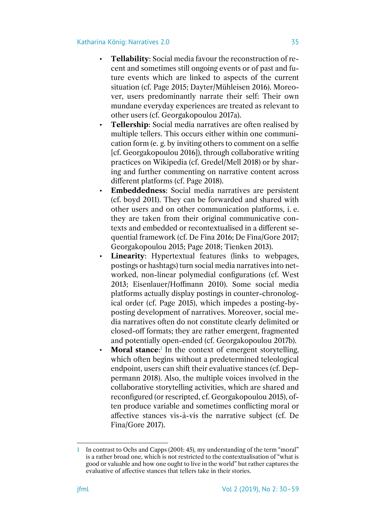- **Tellability**: Social media favour the reconstruction of recent and sometimes still ongoing events or of past and future events which are linked to aspects of the current situation (cf. Page 2015; Dayter/Mühleisen 2016). Moreover, users predominantly narrate their self: Their own mundane everyday experiences are treated as relevant to other users (cf. Georgakopoulou 2017a).
- **Tellership**: Social media narratives are often realised by multiple tellers. This occurs either within one communication form (e. g. by inviting others to comment on a selfie [cf. Georgakopoulou 2016]), through collaborative writing practices on Wikipedia (cf. Gredel/Mell 2018) or by sharing and further commenting on narrative content across different platforms (cf. Page 2018).
- **Embeddedness**: Social media narratives are persistent (cf. boyd 2011). They can be forwarded and shared with other users and on other communication platforms, i. e. they are taken from their original communicative contexts and embedded or recontextualised in a different sequential framework (cf. De Fina 2016; De Fina/Gore 2017; Georgakopoulou 2015; Page 2018; Tienken 2013).
- **Linearity:** Hypertextual features (links to webpages, postings or hashtags) turn social media narratives into networked, non-linear polymedial configurations (cf. West 2013; Eisenlauer/Hoffmann 2010). Some social media platforms actually display postings in counter-chronological order (cf. Page 2015), which impedes a posting-byposting development of narratives. Moreover, social media narratives often do not constitute clearly delimited or closed-off formats; they are rather emergent, fragmented and potentially open-ended (cf. Georgakopoulou 2017b).
- **Moral stance**:<sup>1</sup> In the context of emergent storytelling, which often begins without a predetermined teleological endpoint, users can shift their evaluative stances (cf. Deppermann 2018). Also, the multiple voices involved in the collaborative storytelling activities, which are shared and reconfigured (or rescripted, cf. Georgakopoulou 2015), often produce variable and sometimes conflicting moral or affective stances vis-à-vis the narrative subject (cf. De Fina/Gore 2017).

<sup>1</sup> In contrast to Ochs and Capps (2001: 45), my understanding of the term "moral" is a rather broad one, which is not restricted to the contextualisation of "what is good or valuable and how one ought to live in the world" but rather captures the evaluative of affective stances that tellers take in their stories.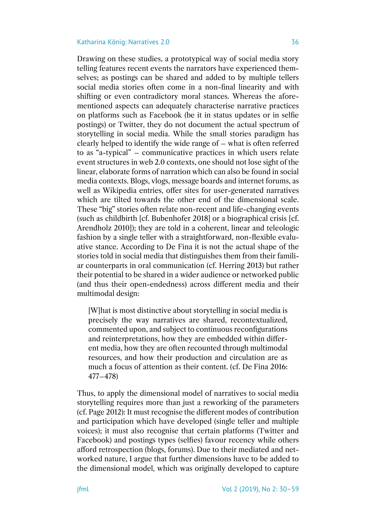Drawing on these studies, a prototypical way of social media story telling features recent events the narrators have experienced themselves; as postings can be shared and added to by multiple tellers social media stories often come in a non-final linearity and with shifting or even contradictory moral stances. Whereas the aforementioned aspects can adequately characterise narrative practices on platforms such as Facebook (be it in status updates or in selfie postings) or Twitter, they do not document the actual spectrum of storytelling in social media. While the small stories paradigm has clearly helped to identify the wide range of – what is often referred to as "a-typical" – communicative practices in which users relate event structures in web 2.0 contexts, one should not lose sight of the linear, elaborate forms of narration which can also be found in social media contexts. Blogs, vlogs, message boards and internet forums, as well as Wikipedia entries, offer sites for user-generated narratives which are tilted towards the other end of the dimensional scale. These "big" stories often relate non-recent and life-changing events (such as childbirth [cf. Bubenhofer 2018] or a biographical crisis [cf. Arendholz 2010]); they are told in a coherent, linear and teleologic fashion by a single teller with a straightforward, non-flexible evaluative stance. According to De Fina it is not the actual shape of the stories told in social media that distinguishes them from their familiar counterparts in oral communication (cf. Herring 2013) but rather their potential to be shared in a wider audience or networked public (and thus their open-endedness) across different media and their multimodal design:

[W]hat is most distinctive about storytelling in social media is precisely the way narratives are shared, recontextualized, commented upon, and subject to continuous reconfigurations and reinterpretations, how they are embedded within different media, how they are often recounted through multimodal resources, and how their production and circulation are as much a focus of attention as their content. (cf. De Fina 2016: 477–478)

Thus, to apply the dimensional model of narratives to social media storytelling requires more than just a reworking of the parameters (cf. Page 2012): It must recognise the different modes of contribution and participation which have developed (single teller and multiple voices); it must also recognise that certain platforms (Twitter and Facebook) and postings types (selfies) favour recency while others afford retrospection (blogs, forums). Due to their mediated and networked nature, I argue that further dimensions have to be added to the dimensional model, which was originally developed to capture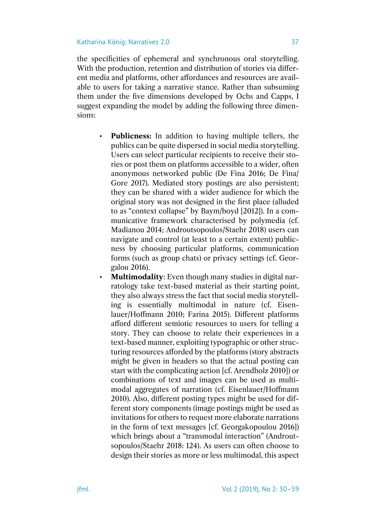the specificities of ephemeral and synchronous oral storytelling. With the production, retention and distribution of stories via different media and platforms, other affordances and resources are available to users for taking a narrative stance. Rather than subsuming them under the five dimensions developed by Ochs and Capps, I suggest expanding the model by adding the following three dimensions:

- **Publicness:** In addition to having multiple tellers, the publics can be quite dispersed in social media storytelling. Users can select particular recipients to receive their stories or post them on platforms accessible to a wider, often anonymous networked public (De Fina 2016; De Fina/ Gore 2017). Mediated story postings are also persistent; they can be shared with a wider audience for which the original story was not designed in the first place (alluded to as "context collapse" by Baym/boyd [2012]). In a communicative framework characterised by polymedia (cf. Madianou 2014; Androutsopoulos/Staehr 2018) users can navigate and control (at least to a certain extent) publicness by choosing particular platforms, communication forms (such as group chats) or privacy settings (cf. Georgalou 2016).
- **Multimodality**: Even though many studies in digital narratology take text-based material as their starting point, they also always stress the fact that social media storytelling is essentially multimodal in nature (cf. Eisenlauer/Hoffmann 2010; Farina 2015). Different platforms afford different semiotic resources to users for telling a story. They can choose to relate their experiences in a text-based manner, exploiting typographic or other structuring resources afforded by the platforms (story abstracts might be given in headers so that the actual posting can start with the complicating action [cf. Arendholz 2010]) or combinations of text and images can be used as multimodal aggregates of narration (cf. Eisenlauer/Hoffmann 2010). Also, different posting types might be used for different story components (image postings might be used as invitations for others to request more elaborate narrations in the form of text messages [cf. Georgakopoulou 2016]) which brings about a "transmodal interaction" (Androutsopoulos/Staehr 2018: 124). As users can often choose to design their stories as more or less multimodal, this aspect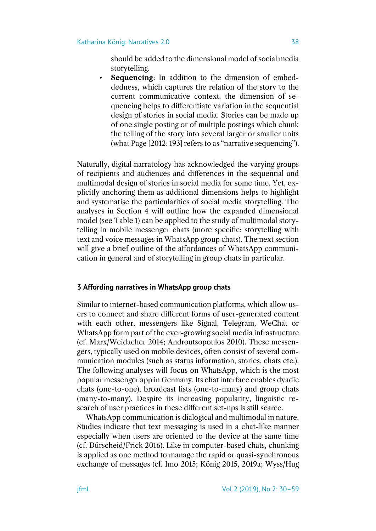should be added to the dimensional model of social media storytelling.

• **Sequencing**: In addition to the dimension of embeddedness, which captures the relation of the story to the current communicative context, the dimension of sequencing helps to differentiate variation in the sequential design of stories in social media. Stories can be made up of one single posting or of multiple postings which chunk the telling of the story into several larger or smaller units (what Page [2012: 193] refers to as "narrative sequencing").

Naturally, digital narratology has acknowledged the varying groups of recipients and audiences and differences in the sequential and multimodal design of stories in social media for some time. Yet, explicitly anchoring them as additional dimensions helps to highlight and systematise the particularities of social media storytelling. The analyses in Section 4 will outline how the expanded dimensional model (see Table 1) can be applied to the study of multimodal storytelling in mobile messenger chats (more specific: storytelling with text and voice messages in WhatsApp group chats). The next section will give a brief outline of the affordances of WhatsApp communication in general and of storytelling in group chats in particular.

# **3 Affording narratives in WhatsApp group chats**

Similar to internet-based communication platforms, which allow users to connect and share different forms of user-generated content with each other, messengers like Signal, Telegram, WeChat or WhatsApp form part of the ever-growing social media infrastructure (cf. Marx/Weidacher 2014; Androutsopoulos 2010). These messengers, typically used on mobile devices, often consist of several communication modules (such as status information, stories, chats etc.). The following analyses will focus on WhatsApp, which is the most popular messenger app in Germany. Its chat interface enables dyadic chats (one-to-one), broadcast lists (one-to-many) and group chats (many-to-many). Despite its increasing popularity, linguistic research of user practices in these different set-ups is still scarce.

WhatsApp communication is dialogical and multimodal in nature. Studies indicate that text messaging is used in a chat-like manner especially when users are oriented to the device at the same time (cf. Dürscheid/Frick 2016). Like in computer-based chats, chunking is applied as one method to manage the rapid or quasi-synchronous exchange of messages (cf. Imo 2015; König 2015, 2019a; Wyss/Hug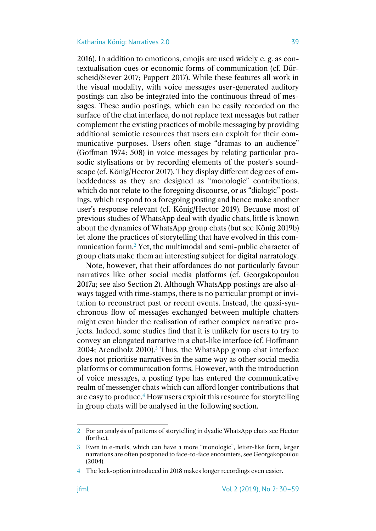2016). In addition to emoticons, emojis are used widely e. g. as contextualisation cues or economic forms of communication (cf. Dürscheid/Siever 2017; Pappert 2017). While these features all work in the visual modality, with voice messages user-generated auditory postings can also be integrated into the continuous thread of messages. These audio postings, which can be easily recorded on the surface of the chat interface, do not replace text messages but rather complement the existing practices of mobile messaging by providing additional semiotic resources that users can exploit for their communicative purposes. Users often stage "dramas to an audience" (Goffman 1974: 508) in voice messages by relating particular prosodic stylisations or by recording elements of the poster's soundscape (cf. König/Hector 2017). They display different degrees of embeddedness as they are designed as "monologic" contributions, which do not relate to the foregoing discourse, or as "dialogic" postings, which respond to a foregoing posting and hence make another user's response relevant (cf. König/Hector 2019). Because most of previous studies of WhatsApp deal with dyadic chats, little is known about the dynamics of WhatsApp group chats (but see König 2019b) let alone the practices of storytelling that have evolved in this communication form.<sup>2</sup> Yet, the multimodal and semi-public character of group chats make them an interesting subject for digital narratology.

Note, however, that their affordances do not particularly favour narratives like other social media platforms (cf. Georgakopoulou 2017a; see also Section 2). Although WhatsApp postings are also always tagged with time-stamps, there is no particular prompt or invitation to reconstruct past or recent events. Instead, the quasi-synchronous flow of messages exchanged between multiple chatters might even hinder the realisation of rather complex narrative projects. Indeed, some studies find that it is unlikely for users to try to convey an elongated narrative in a chat-like interface (cf. Hoffmann 2004; Arendholz 2010).<sup>3</sup> Thus, the WhatsApp group chat interface does not prioritise narratives in the same way as other social media platforms or communication forms. However, with the introduction of voice messages, a posting type has entered the communicative realm of messenger chats which can afford longer contributions that are easy to produce.<sup>4</sup> How users exploit this resource for storytelling in group chats will be analysed in the following section.

<sup>2</sup> For an analysis of patterns of storytelling in dyadic WhatsApp chats see Hector (forthc.).

<sup>3</sup> Even in e-mails, which can have a more "monologic", letter-like form, larger narrations are often postponed to face-to-face encounters, see Georgakopoulou (2004).

<sup>4</sup> The lock-option introduced in 2018 makes longer recordings even easier.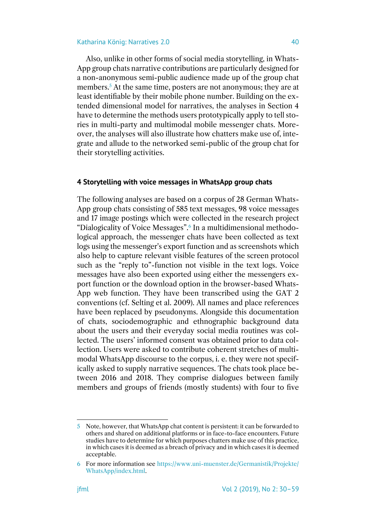Also, unlike in other forms of social media storytelling, in Whats-App group chats narrative contributions are particularly designed for a non-anonymous semi-public audience made up of the group chat members.<sup>5</sup> At the same time, posters are not anonymous; they are at least identifiable by their mobile phone number. Building on the extended dimensional model for narratives, the analyses in Section 4 have to determine the methods users prototypically apply to tell stories in multi-party and multimodal mobile messenger chats. Moreover, the analyses will also illustrate how chatters make use of, integrate and allude to the networked semi-public of the group chat for their storytelling activities.

### **4 Storytelling with voice messages in WhatsApp group chats**

The following analyses are based on a corpus of 28 German Whats-App group chats consisting of 585 text messages, 98 voice messages and 17 image postings which were collected in the research project "Dialogicality of Voice Messages".<sup>6</sup> In a multidimensional methodological approach, the messenger chats have been collected as text logs using the messenger's export function and as screenshots which also help to capture relevant visible features of the screen protocol such as the "reply to"-function not visible in the text logs. Voice messages have also been exported using either the messengers export function or the download option in the browser-based Whats-App web function. They have been transcribed using the GAT 2 conventions (cf. Selting et al. 2009). All names and place references have been replaced by pseudonyms. Alongside this documentation of chats, sociodemographic and ethnographic background data about the users and their everyday social media routines was collected. The users' informed consent was obtained prior to data collection. Users were asked to contribute coherent stretches of multimodal WhatsApp discourse to the corpus, i. e. they were not specifically asked to supply narrative sequences. The chats took place between 2016 and 2018. They comprise dialogues between family members and groups of friends (mostly students) with four to five

<sup>5</sup> Note, however, that WhatsApp chat content is persistent: it can be forwarded to others and shared on additional platforms or in face-to-face encounters. Future studies have to determine for which purposes chatters make use of this practice, in which cases it is deemed as a breach of privacy and in which cases it is deemed acceptable.

<sup>6</sup> For more information see [https://www.uni-muenster.de/Germanistik/Projekte/](https://www.uni-muenster.de/Germanistik/Projekte/WhatsApp/index.html) [WhatsApp/index.html.](https://www.uni-muenster.de/Germanistik/Projekte/WhatsApp/index.html)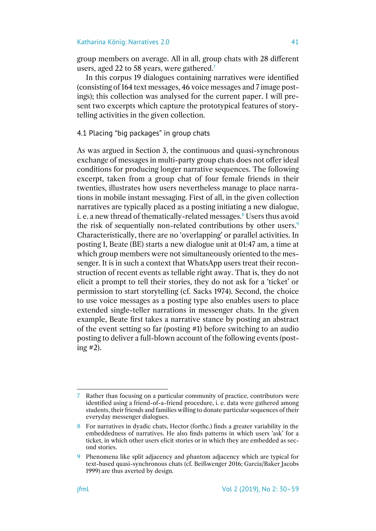group members on average. All in all, group chats with 28 different users, aged 22 to 58 years, were gathered.<sup>7</sup>

In this corpus 19 dialogues containing narratives were identified (consisting of 164 text messages, 46 voice messages and 7 image postings); this collection was analysed for the current paper. I will present two excerpts which capture the prototypical features of storytelling activities in the given collection.

4.1 Placing "big packages" in group chats

As was argued in Section 3, the continuous and quasi-synchronous exchange of messages in multi-party group chats does not offer ideal conditions for producing longer narrative sequences. The following excerpt, taken from a group chat of four female friends in their twenties, illustrates how users nevertheless manage to place narrations in mobile instant messaging. First of all, in the given collection narratives are typically placed as a posting initiating a new dialogue, i. e. a new thread of thematically-related messages.<sup>8</sup> Users thus avoid the risk of sequentially non-related contributions by other users.<sup>9</sup> Characteristically, there are no 'overlapping' or parallel activities. In posting 1, Beate (BE) starts a new dialogue unit at 01:47 am, a time at which group members were not simultaneously oriented to the messenger. It is in such a context that WhatsApp users treat their reconstruction of recent events as tellable right away. That is, they do not elicit a prompt to tell their stories, they do not ask for a 'ticket' or permission to start storytelling (cf. Sacks 1974). Second, the choice to use voice messages as a posting type also enables users to place extended single-teller narrations in messenger chats. In the given example, Beate first takes a narrative stance by posting an abstract of the event setting so far (posting #1) before switching to an audio posting to deliver a full-blown account of the following events (posting #2).

<sup>7</sup> Rather than focusing on a particular community of practice, contributors were identified using a friend-of-a-friend procedure, i. e. data were gathered among students, their friends and families willing to donate particular sequences of their everyday messenger dialogues.

<sup>8</sup> For narratives in dyadic chats, Hector (forthc.) finds a greater variability in the embeddedness of narratives. He also finds patterns in which users 'ask' for a ticket, in which other users elicit stories or in which they are embedded as second stories.

<sup>9</sup> Phenomena like split adjacency and phantom adjacency which are typical for text-based quasi-synchronous chats (cf. Beißwenger 2016; Garcia/Baker Jacobs 1999) are thus averted by design.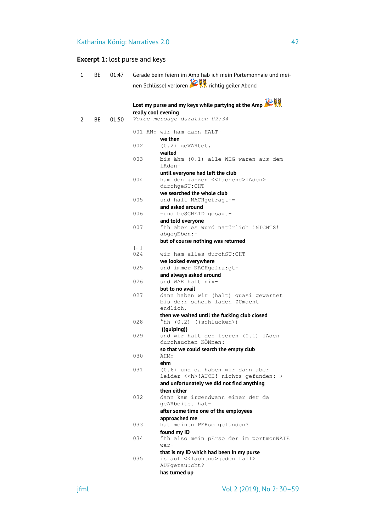# **Excerpt 1:** lost purse and keys

| 1 | ВE | 01:47 |                     | Gerade beim feiern im Amp hab ich mein Portemonnaie und mei- |
|---|----|-------|---------------------|--------------------------------------------------------------|
|   |    |       |                     | nen Schlüssel verloren <b>Auf Kr</b> k richtig geiler Abend  |
|   |    |       |                     |                                                              |
|   |    |       |                     |                                                              |
|   |    |       |                     | Lost my purse and my keys while partying at the Amp          |
| 2 | BE | 01:50 | really cool evening | Voice message duration 02:34                                 |
|   |    |       |                     |                                                              |
|   |    |       |                     | 001 AN: wir ham dann HALT-                                   |
|   |    |       |                     | we then                                                      |
|   |    |       | 002                 | $(0.2)$ geWARtet,                                            |
|   |    |       | 003                 | waited<br>bis ähm (0.1) alle WEG waren aus dem               |
|   |    |       |                     | lAden-                                                       |
|   |    |       |                     | until everyone had left the club                             |
|   |    |       | 004                 | ham den ganzen < <lachend>lAden&gt;</lachend>                |
|   |    |       |                     | durchgeSU: CHT-<br>we searched the whole club                |
|   |    |       | 005                 | und halt NACHgefragt-=                                       |
|   |    |       |                     | and asked around                                             |
|   |    |       | 006                 | =und beSCHEID gesagt-                                        |
|   |    |       |                     | and told everyone                                            |
|   |    |       | 007                 | hh aber es wurd natürlich !NICHTS!                           |
|   |    |       |                     | abgegEben:-<br>but of course nothing was returned            |
|   |    |       | []                  |                                                              |
|   |    |       | 024                 | wir ham alles durchSU: CHT-                                  |
|   |    |       |                     | we looked everywhere                                         |
|   |    |       | 025                 | und immer NACHgefra:gt-                                      |
|   |    |       | 026                 | and always asked around<br>und WAR halt nix-                 |
|   |    |       |                     | but to no avail                                              |
|   |    |       | 027                 | dann haben wir (halt) quasi gewartet                         |
|   |    |       |                     | bis de:r scheiß laden ZUmacht                                |
|   |    |       |                     | endlich,<br>then we waited until the fucking club closed     |
|   |    |       | 028                 | $^{\circ}$ hh (0.2) ((schlucken))                            |
|   |    |       |                     | ((gulping))                                                  |
|   |    |       | 029                 | und wir halt den leeren (0.1) lAden                          |
|   |    |       |                     | durchsuchen KÖNnen:-                                         |
|   |    |       | 0.30                | so that we could search the empty club<br>$AHM:-$            |
|   |    |       |                     | ehm                                                          |
|   |    |       | 031                 | (0.6) und da haben wir dann aber                             |
|   |    |       |                     | leider << h>!AUCH! nichts gefunden:->                        |
|   |    |       |                     | and unfortunately we did not find anything                   |
|   |    |       | 032                 | then either<br>dann kam irgendwann einer der da              |
|   |    |       |                     | geARbeitet hat-                                              |
|   |    |       |                     | after some time one of the employees                         |
|   |    |       |                     | approached me                                                |
|   |    |       | 033                 | hat meinen PERso gefunden?                                   |
|   |    |       | 034                 | found my ID<br>°hh also mein pErso der im portmonNAIE        |
|   |    |       |                     | war-                                                         |
|   |    |       |                     | that is my ID which had been in my purse                     |
|   |    |       | 035                 | is auf < <lachend>jeden fall&gt;</lachend>                   |
|   |    |       |                     | AUFgetau:cht?                                                |
|   |    |       |                     | has turned up                                                |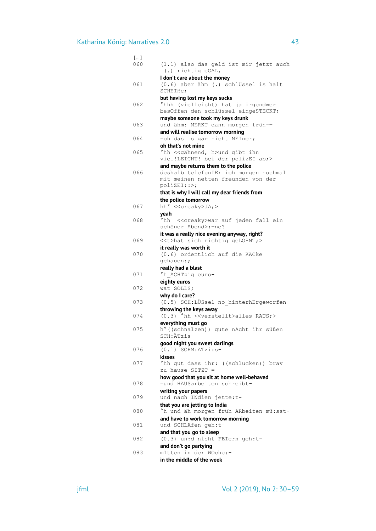| []  |                                                        |
|-----|--------------------------------------------------------|
| 060 | (1.1) also das geld ist mir jetzt auch                 |
|     | (.) richtig eGAL,                                      |
|     | I don't care about the money                           |
| 061 | (0.6) aber ähm (.) schlÜssel is halt                   |
|     | SCHEIße;                                               |
|     | but having lost my keys sucks                          |
| 062 | °hhh (vielleicht) hat ja irgendwer                     |
|     | besOffen den schlüssel eingeSTECKT;                    |
|     | maybe someone took my keys drunk                       |
| 063 | und ähm: MERKT dann morgen früh-=                      |
|     | and will realise tomorrow morning                      |
| 064 | =oh das is gar nicht MEIner;                           |
|     | oh that's not mine                                     |
| 065 | hh < <gähnend, h="">und gibt ihn</gähnend,>            |
|     | viel!LEICHT! bei der polizEI ab;>                      |
|     | and maybe returns them to the police                   |
| 066 | deshalb telefonIEr ich morgen nochmal                  |
|     | mit meinen netten freunden von der                     |
|     | polizEI::>                                             |
|     | that is why I will call my dear friends from           |
|     | the police tomorrow                                    |
| 067 | hh° < <creaky>JA;&gt;</creaky>                         |
|     | yeah                                                   |
| 068 | °hh<br>< <creaky>war auf jeden fall ein</creaky>       |
|     | schöner Abend>;=ne?                                    |
|     | it was a really nice evening anyway, right?            |
| 069 | < <t>hat sich richtig geLOHNT;&gt;</t>                 |
|     | it really was worth it                                 |
| 070 | (0.6) ordentlich auf die KACke                         |
|     | qehauen:;                                              |
|     | really had a blast                                     |
| 071 | °h ACHTzig euro-                                       |
|     | eighty euros                                           |
| 072 | wat SOLLS;                                             |
|     | why do I care?                                         |
| 073 | (0.5) SCH: LÜSsel no hinterhErgeworfen-                |
|     | throwing the keys away                                 |
| 074 | °hh < <verstellt>alles RAUS;&gt;<br/>(0.3)</verstellt> |
|     | everything must go                                     |
| 075 | h° ((schnalzen)) gute nAcht ihr süßen                  |
|     | SCH:ÄTzis-                                             |
|     | good night you sweet darlings                          |
| 076 | $(0.1)$ SCHM: ATzi: $s-$                               |
|     | kisses                                                 |
| 077 | °hh qut dass ihr: ((schlucken)) brav                   |
|     | zu hause SITZT-=                                       |
|     | how good that you sit at home well-behaved             |
| 078 | =und HAUSarbeiten schreibt-                            |
|     | writing your papers                                    |
| 079 | und nach INdien jette:t-                               |
|     | that you are jetting to India                          |
| 080 | °h und äh morgen früh ARbeiten mü:sst-                 |
|     | and have to work tomorrow morning                      |
| 081 | und SCHLAfen geh:t-                                    |
|     | and that you go to sleep                               |
| 082 | (0.3) un:d nicht FEIern geh:t-                         |
|     | and don't go partying                                  |
| 083 | mItten in der WOche:-                                  |
|     | in the middle of the week                              |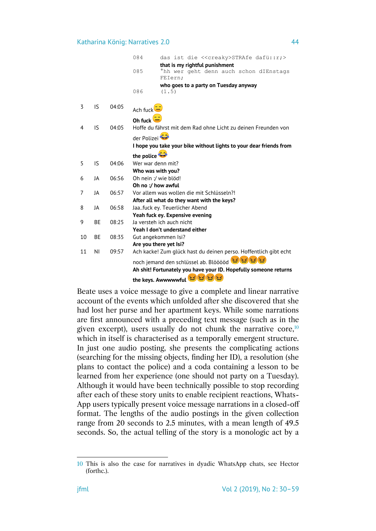|    |    |       | 084<br>das ist die < <creaky>STRAfe dafü::r;&gt;</creaky>                             |
|----|----|-------|---------------------------------------------------------------------------------------|
|    |    |       | that is my rightful punishment                                                        |
|    |    |       | 085<br>hh wer geht denn auch schon dIEnstags                                          |
|    |    |       | FEIern;                                                                               |
|    |    |       | who goes to a party on Tuesday anyway                                                 |
|    |    |       | 086<br>(1.5)                                                                          |
|    |    |       |                                                                                       |
| 3  | IS | 04:05 | Ach fuck                                                                              |
|    |    |       | Oh fuck $\Box$                                                                        |
| 4  | IS | 04:05 | Hoffe du fährst mit dem Rad ohne Licht zu deinen Freunden von                         |
|    |    |       |                                                                                       |
|    |    |       | der Polizei                                                                           |
|    |    |       | I hope you take your bike without lights to your dear friends from                    |
|    |    |       | the police                                                                            |
| 5  | IS | 04:06 | Wer war denn mit?                                                                     |
|    |    |       | Who was with you?                                                                     |
| 6  | JA | 06:56 | Oh nein :/ wie blöd!                                                                  |
|    |    |       | Oh no :/ how awful                                                                    |
| 7  | JA | 06:57 | Vor allem was wollen die mit Schlüsseln?!                                             |
|    |    |       | After all what do they want with the keys?                                            |
| 8  | JA | 06:58 | Jaafuck ey. Teuerlicher Abend                                                         |
|    |    |       | Yeah fuck ey. Expensive evening                                                       |
| 9  | BE | 08:25 | Ja versteh ich auch nicht                                                             |
|    |    |       | Yeah I don't understand either                                                        |
| 10 | ВE | 08:35 | Gut angekommen Isi?                                                                   |
|    |    |       | Are you there yet Isi?                                                                |
| 11 | ΝI | 09:57 | Ach kacke! Zum glück hast du deinen perso. Hoffentlich gibt echt                      |
|    |    |       | أَمْيَعْ أَمْيَعْ أَمْيَةً لَمْ<br>noch jemand den schlüssel ab. Blööööd <sup>(</sup> |
|    |    |       | Ah shit! Fortunately you have your ID. Hopefully someone returns                      |
|    |    |       | the keys. Awwwwwful and and and                                                       |
|    |    |       |                                                                                       |

Beate uses a voice message to give a complete and linear narrative account of the events which unfolded after she discovered that she had lost her purse and her apartment keys. While some narrations are first announced with a preceding text message (such as in the given excerpt), users usually do not chunk the narrative core, $10$ which in itself is characterised as a temporally emergent structure. In just one audio posting, she presents the complicating actions (searching for the missing objects, finding her ID), a resolution (she plans to contact the police) and a coda containing a lesson to be learned from her experience (one should not party on a Tuesday). Although it would have been technically possible to stop recording after each of these story units to enable recipient reactions, Whats-App users typically present voice message narrations in a closed-off format. The lengths of the audio postings in the given collection range from 20 seconds to 2.5 minutes, with a mean length of 49.5 seconds. So, the actual telling of the story is a monologic act by a

<sup>10</sup> This is also the case for narratives in dyadic WhatsApp chats, see Hector (forthc.).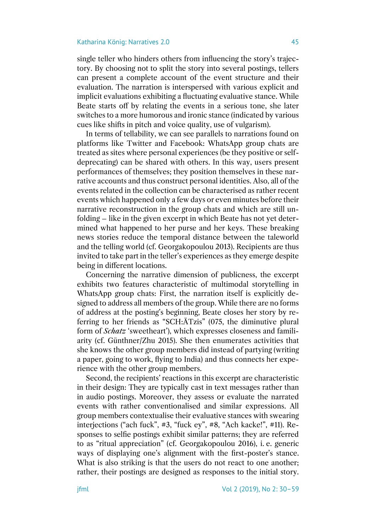single teller who hinders others from influencing the story's trajectory. By choosing not to split the story into several postings, tellers can present a complete account of the event structure and their evaluation. The narration is interspersed with various explicit and implicit evaluations exhibiting a fluctuating evaluative stance. While Beate starts off by relating the events in a serious tone, she later switches to a more humorous and ironic stance (indicated by various cues like shifts in pitch and voice quality, use of vulgarism).

In terms of tellability, we can see parallels to narrations found on platforms like Twitter and Facebook: WhatsApp group chats are treated as sites where personal experiences (be they positive or selfdeprecating) can be shared with others. In this way, users present performances of themselves; they position themselves in these narrative accounts and thus construct personal identities. Also, all of the events related in the collection can be characterised as rather recent events which happened only a few days or even minutes before their narrative reconstruction in the group chats and which are still unfolding – like in the given excerpt in which Beate has not yet determined what happened to her purse and her keys. These breaking news stories reduce the temporal distance between the taleworld and the telling world (cf. Georgakopoulou 2013). Recipients are thus invited to take part in the teller's experiences as they emerge despite being in different locations.

Concerning the narrative dimension of publicness, the excerpt exhibits two features characteristic of multimodal storytelling in WhatsApp group chats: First, the narration itself is explicitly designed to address all members of the group. While there are no forms of address at the posting's beginning, Beate closes her story by referring to her friends as "SCH:ÄTzis" (075, the diminutive plural form of *Schatz* 'sweetheart'), which expresses closeness and familiarity (cf. Günthner/Zhu 2015). She then enumerates activities that she knows the other group members did instead of partying (writing a paper, going to work, flying to India) and thus connects her experience with the other group members.

Second, the recipients' reactions in this excerpt are characteristic in their design: They are typically cast in text messages rather than in audio postings. Moreover, they assess or evaluate the narrated events with rather conventionalised and similar expressions. All group members contextualise their evaluative stances with swearing interjections ("ach fuck", #3, "fuck ey", #8, "Ach kacke!", #11). Responses to selfie postings exhibit similar patterns; they are referred to as "ritual appreciation" (cf. Georgakopoulou 2016), i. e. generic ways of displaying one's alignment with the first-poster's stance. What is also striking is that the users do not react to one another; rather, their postings are designed as responses to the initial story.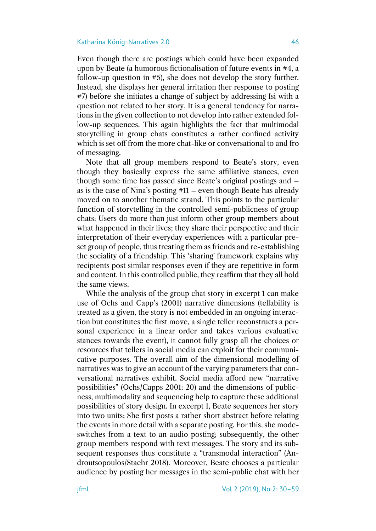Even though there are postings which could have been expanded upon by Beate (a humorous fictionalisation of future events in #4, a follow-up question in #5), she does not develop the story further. Instead, she displays her general irritation (her response to posting #7) before she initiates a change of subject by addressing Isi with a question not related to her story. It is a general tendency for narrations in the given collection to not develop into rather extended follow-up sequences. This again highlights the fact that multimodal storytelling in group chats constitutes a rather confined activity which is set off from the more chat-like or conversational to and fro of messaging.

Note that all group members respond to Beate's story, even though they basically express the same affiliative stances, even though some time has passed since Beate's original postings and – as is the case of Nina's posting #11 – even though Beate has already moved on to another thematic strand. This points to the particular function of storytelling in the controlled semi-publicness of group chats: Users do more than just inform other group members about what happened in their lives; they share their perspective and their interpretation of their everyday experiences with a particular preset group of people, thus treating them as friends and re-establishing the sociality of a friendship. This 'sharing' framework explains why recipients post similar responses even if they are repetitive in form and content. In this controlled public, they reaffirm that they all hold the same views.

While the analysis of the group chat story in excerpt 1 can make use of Ochs and Capp's (2001) narrative dimensions (tellability is treated as a given, the story is not embedded in an ongoing interaction but constitutes the first move, a single teller reconstructs a personal experience in a linear order and takes various evaluative stances towards the event), it cannot fully grasp all the choices or resources that tellers in social media can exploit for their communicative purposes. The overall aim of the dimensional modelling of narratives was to give an account of the varying parameters that conversational narratives exhibit. Social media afford new "narrative possibilities" (Ochs/Capps 2001: 20) and the dimensions of publicness, multimodality and sequencing help to capture these additional possibilities of story design. In excerpt 1, Beate sequences her story into two units: She first posts a rather short abstract before relating the events in more detail with a separate posting. For this, she modeswitches from a text to an audio posting; subsequently, the other group members respond with text messages. The story and its subsequent responses thus constitute a "transmodal interaction" (Androutsopoulos/Staehr 2018). Moreover, Beate chooses a particular audience by posting her messages in the semi-public chat with her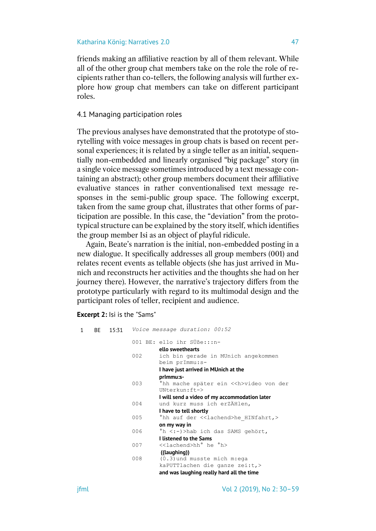friends making an affiliative reaction by all of them relevant. While all of the other group chat members take on the role the role of recipients rather than co-tellers, the following analysis will further explore how group chat members can take on different participant roles.

# 4.1 Managing participation roles

The previous analyses have demonstrated that the prototype of storytelling with voice messages in group chats is based on recent personal experiences; it is related by a single teller as an initial, sequentially non-embedded and linearly organised "big package" story (in a single voice message sometimes introduced by a text message containing an abstract); other group members document their affiliative evaluative stances in rather conventionalised text message responses in the semi-public group space. The following excerpt, taken from the same group chat, illustrates that other forms of participation are possible. In this case, the "deviation" from the prototypical structure can be explained by the story itself, which identifies the group member Isi as an object of playful ridicule.

Again, Beate's narration is the initial, non-embedded posting in a new dialogue. It specifically addresses all group members (001) and relates recent events as tellable objects (she has just arrived in Munich and reconstructs her activities and the thoughts she had on her journey there). However, the narrative's trajectory differs from the prototype particularly with regard to its multimodal design and the participant roles of teller, recipient and audience.

# **Excerpt 2:** Isi is the "Sams"

| $\mathbf{1}$ | BE 15:31 |     | Voice message duration: 00:52                    |
|--------------|----------|-----|--------------------------------------------------|
|              |          |     | 001 BE: ello ihr SÜße:::n-                       |
|              |          |     | ello sweethearts                                 |
|              |          | 002 | ich bin gerade in MUnich angekommen              |
|              |          |     | beim prImmu:s-                                   |
|              |          |     | I have just arrived in MUnich at the             |
|              |          |     | prlmmu:s-                                        |
|              |          | 003 | hh mache später ein << h>video von der           |
|              |          |     | $UNterkun:ft->$                                  |
|              |          |     | I will send a video of my accommodation later    |
|              |          | 004 | und kurz muss ich erZÄHlen,                      |
|              |          |     | I have to tell shortly                           |
|              |          | 005 | hh auf der < <lachend>he HINfahrt,&gt;</lachend> |
|              |          |     | on my way in                                     |
|              |          | 006 | 'h <:- > > hab ich das SAMS gehört,              |
|              |          |     | <b>I listened to the Sams</b>                    |
|              |          | 007 | < <lachend>hh°he 'h&gt;</lachend>                |
|              |          |     | ((laughing))                                     |
|              |          | 008 | $(0.3)$ und musste mich m:eqa                    |
|              |          |     | kaPUTTlachen die ganze zei:t,>                   |
|              |          |     | and was laughing really hard all the time        |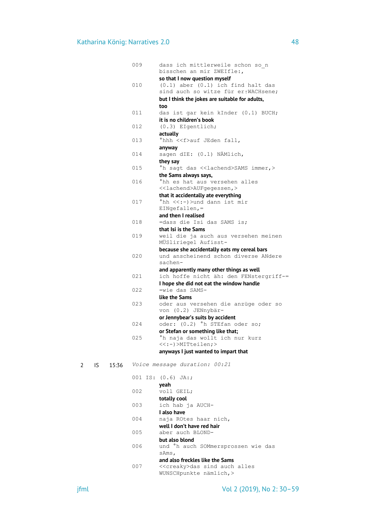|   |     |       | 009 | dass ich mittlerweile schon so n<br>bisschen an mir ZWEIfle:,                                                               |
|---|-----|-------|-----|-----------------------------------------------------------------------------------------------------------------------------|
|   |     |       | 010 | so that I now question myself<br>$(0.1)$ aber $(0.1)$ ich find halt das<br>sind auch so witze für er <sub>1</sub> WACHsene; |
|   |     |       |     | but I think the jokes are suitable for adults,                                                                              |
|   |     |       | 011 | too                                                                                                                         |
|   |     |       |     | das ist gar kein kInder (0.1) BUCH;<br>it is no children's book                                                             |
|   |     |       | 012 | (0.3) EIgentlich;                                                                                                           |
|   |     |       |     | actually                                                                                                                    |
|   |     |       | 013 | °hhh < <f>auf JEden fall,</f>                                                                                               |
|   |     |       | 014 | anyway<br>sagen dIE: (0.1) NÄMlich,                                                                                         |
|   |     |       |     | they say                                                                                                                    |
|   |     |       | 015 | <sup>o</sup> h sagt das < <lachend>SAMS immer,&gt;</lachend>                                                                |
|   |     |       |     | the Sams always says,                                                                                                       |
|   |     |       | 016 | °hh es hat aus versehen alles<br>< <lachend>AUFgegessen,&gt;</lachend>                                                      |
|   |     |       |     | that it accidentally ate everything                                                                                         |
|   |     |       | 017 | °hh <<:−)>und dann ist mir                                                                                                  |
|   |     |       |     | $EINGefallen, =$                                                                                                            |
|   |     |       |     | and then I realised                                                                                                         |
|   |     |       | 018 | =dass die Isi das SAMS is;<br>that Isi is the Sams                                                                          |
|   |     |       | 019 | weil die ja auch aus versehen meinen                                                                                        |
|   |     |       |     | MÜSliriegel Aufisst-                                                                                                        |
|   |     |       |     | because she accidentally eats my cereal bars                                                                                |
|   |     |       | 020 | und anscheinend schon diverse ANdere<br>sachen-                                                                             |
|   |     |       |     | and apparently many other things as well                                                                                    |
|   |     |       | 021 | ich hoffe nicht äh: den FENstergriff-=                                                                                      |
|   |     |       |     | I hope she did not eat the window handle                                                                                    |
|   |     |       | 022 | =wie das SAMS-                                                                                                              |
|   |     |       | 023 | like the Sams                                                                                                               |
|   |     |       |     | oder aus versehen die anzüge oder so<br>von (0.2) JENnybär-                                                                 |
|   |     |       |     | or Jennybear's suits by accident                                                                                            |
|   |     |       | 024 | oder: (0.2) <sup>o</sup> h STEfan oder so;                                                                                  |
|   |     |       |     | or Stefan or something like that;                                                                                           |
|   |     |       | 025 | °h naja das wollt ich nur kurz<br><<:-)>MITteilen;>                                                                         |
|   |     |       |     | anyways I just wanted to impart that                                                                                        |
| 2 | IS. | 15:36 |     | Voice message duration: 00:21                                                                                               |
|   |     |       |     | 001 IS: (0.6) JA:;                                                                                                          |
|   |     |       |     | veah                                                                                                                        |
|   |     |       | 002 | voll GEIL;                                                                                                                  |
|   |     |       | 003 | totally cool                                                                                                                |
|   |     |       |     | ich hab ja AUCH-<br>I also have                                                                                             |
|   |     |       | 004 | naja ROtes haar nich,                                                                                                       |
|   |     |       |     | well I don't have red hair                                                                                                  |
|   |     |       | 005 | aber auch BLOND-                                                                                                            |
|   |     |       |     | but also blond                                                                                                              |

006 und °h auch SOMmersprossen wie das sAms,

# **and also freckles like the Sams**<br>007 <<creakv>das sind auch

007 <<creaky>das sind auch alles WUNSCHpunkte nämlich,>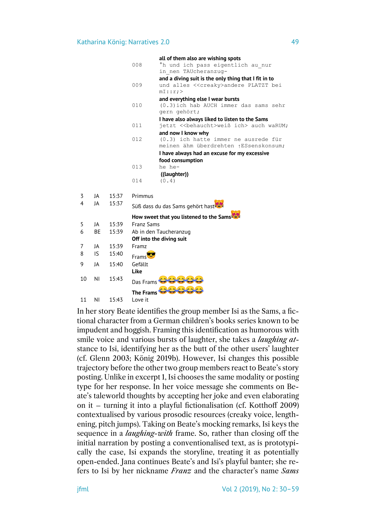|    |           |       |                   | all of them also are wishing spots                             |
|----|-----------|-------|-------------------|----------------------------------------------------------------|
|    |           |       | 008               | °h und ich pass eigentlich au nur                              |
|    |           |       |                   | in nen TAUcheranzug-                                           |
|    |           |       |                   | and a diving suit is the only thing that I fit in to           |
|    |           |       | 009               | und alles < <creaky>andere PLATZT bei</creaky>                 |
|    |           |       |                   | mI:ir:                                                         |
|    |           |       | 010               | and everything else I wear bursts                              |
|    |           |       |                   | (0.3) ich hab AUCH immer das sams sehr                         |
|    |           |       |                   | gern gehört;<br>I have also always liked to listen to the Sams |
|    |           |       | 011               | jetzt << behaucht>weiß ich> auch waRUM;                        |
|    |           |       |                   | and now I know why                                             |
|    |           |       | 012               | (0.3) ich hatte immer ne ausrede für                           |
|    |           |       |                   | meinen ähm überdrehten <sub>1</sub> ESsenskonsum;              |
|    |           |       |                   | I have always had an excuse for my excessive                   |
|    |           |       |                   | food consumption                                               |
|    |           |       | 013               | he he-                                                         |
|    |           |       |                   | ((laughter))                                                   |
|    |           |       | 014               | (0.4)                                                          |
| 3  | JA        | 15:37 | Primmus           |                                                                |
| 4  | JA        | 15:37 |                   | Süß dass du das Sams gehört hast                               |
|    |           |       |                   |                                                                |
|    |           |       |                   | How sweet that you listened to the Sams                        |
| 5  | JA        | 15:39 | <b>Franz Sams</b> |                                                                |
| 6  | <b>BE</b> | 15:39 |                   | Ab in den Taucheranzug                                         |
|    |           |       |                   | Off into the diving suit                                       |
| 7  | JA        | 15:39 | Framz             |                                                                |
| 8  | IS        | 15:40 | <b>Frams</b>      |                                                                |
| 9  | IA        | 15:40 | Gefällt           |                                                                |
|    |           |       | Like              |                                                                |
| 10 | ΝI        | 15:43 | Das Frams         |                                                                |
|    |           |       | <b>The Frams</b>  |                                                                |
| 11 | ΝI        | 15:43 | Love it           |                                                                |

In her story Beate identifies the group member Isi as the Sams, a fictional character from a German children's books series known to be impudent and hoggish. Framing this identification as humorous with smile voice and various bursts of laughter, she takes a *laughing at*stance to Isi, identifying her as the butt of the other users' laughter (cf. Glenn 2003; König 2019b). However, Isi changes this possible trajectory before the other two group members react to Beate's story posting. Unlike in excerpt 1, Isi chooses the same modality or posting type for her response. In her voice message she comments on Beate's taleworld thoughts by accepting her joke and even elaborating on it – turning it into a playful fictionalisation (cf. Kotthoff 2009) contextualised by various prosodic resources (creaky voice, lengthening, pitch jumps). Taking on Beate's mocking remarks, Isi keys the sequence in a *laughing-with* frame. So, rather than closing off the initial narration by posting a conventionalised text, as is prototypically the case, Isi expands the storyline, treating it as potentially open-ended. Jana continues Beate's and Isi's playful banter; she refers to Isi by her nickname *Franz* and the character's name *Sams*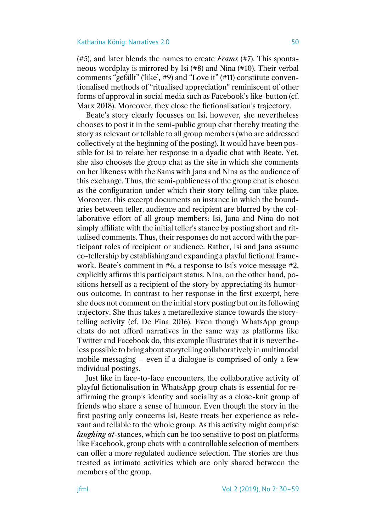(#5), and later blends the names to create *Frams* (#7). This spontaneous wordplay is mirrored by Isi (#8) and Nina (#10). Their verbal comments "gefällt" ('like', #9) and "Love it" (#11) constitute conventionalised methods of "ritualised appreciation" reminiscent of other forms of approval in social media such as Facebook's like-button (cf. Marx 2018). Moreover, they close the fictionalisation's trajectory.

Beate's story clearly focusses on Isi, however, she nevertheless chooses to post it in the semi-public group chat thereby treating the story as relevant or tellable to all group members (who are addressed collectively at the beginning of the posting). It would have been possible for Isi to relate her response in a dyadic chat with Beate. Yet, she also chooses the group chat as the site in which she comments on her likeness with the Sams with Jana and Nina as the audience of this exchange. Thus, the semi-publicness of the group chat is chosen as the configuration under which their story telling can take place. Moreover, this excerpt documents an instance in which the boundaries between teller, audience and recipient are blurred by the collaborative effort of all group members: Isi, Jana and Nina do not simply affiliate with the initial teller's stance by posting short and ritualised comments. Thus, their responses do not accord with the participant roles of recipient or audience. Rather, Isi and Jana assume co-tellership by establishing and expanding a playful fictional framework. Beate's comment in #6, a response to Isi's voice message #2, explicitly affirms this participant status. Nina, on the other hand, positions herself as a recipient of the story by appreciating its humorous outcome. In contrast to her response in the first excerpt, here she does not comment on the initial story posting but on its following trajectory. She thus takes a metareflexive stance towards the storytelling activity (cf. De Fina 2016). Even though WhatsApp group chats do not afford narratives in the same way as platforms like Twitter and Facebook do, this example illustrates that it is nevertheless possible to bring about storytelling collaboratively in multimodal mobile messaging – even if a dialogue is comprised of only a few individual postings.

Just like in face-to-face encounters, the collaborative activity of playful fictionalisation in WhatsApp group chats is essential for reaffirming the group's identity and sociality as a close-knit group of friends who share a sense of humour. Even though the story in the first posting only concerns Isi, Beate treats her experience as relevant and tellable to the whole group. As this activity might comprise *laughing at*-stances, which can be too sensitive to post on platforms like Facebook, group chats with a controllable selection of members can offer a more regulated audience selection. The stories are thus treated as intimate activities which are only shared between the members of the group.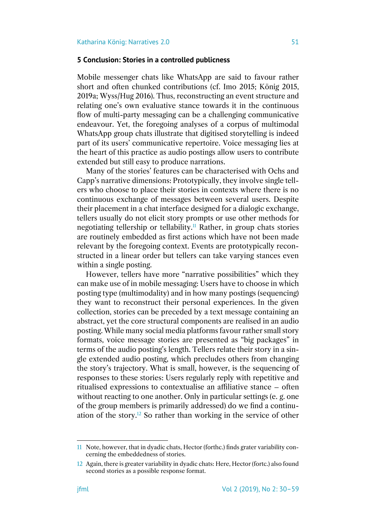# **5 Conclusion: Stories in a controlled publicness**

Mobile messenger chats like WhatsApp are said to favour rather short and often chunked contributions (cf. Imo 2015; König 2015, 2019a; Wyss/Hug 2016). Thus, reconstructing an event structure and relating one's own evaluative stance towards it in the continuous flow of multi-party messaging can be a challenging communicative endeavour. Yet, the foregoing analyses of a corpus of multimodal WhatsApp group chats illustrate that digitised storytelling is indeed part of its users' communicative repertoire. Voice messaging lies at the heart of this practice as audio postings allow users to contribute extended but still easy to produce narrations.

Many of the stories' features can be characterised with Ochs and Capp's narrative dimensions: Prototypically, they involve single tellers who choose to place their stories in contexts where there is no continuous exchange of messages between several users. Despite their placement in a chat interface designed for a dialogic exchange, tellers usually do not elicit story prompts or use other methods for negotiating tellership or tellability.<sup>11</sup> Rather, in group chats stories are routinely embedded as first actions which have not been made relevant by the foregoing context. Events are prototypically reconstructed in a linear order but tellers can take varying stances even within a single posting.

However, tellers have more "narrative possibilities" which they can make use of in mobile messaging: Users have to choose in which posting type (multimodality) and in how many postings (sequencing) they want to reconstruct their personal experiences. In the given collection, stories can be preceded by a text message containing an abstract, yet the core structural components are realised in an audio posting. While many social media platforms favour rather small story formats, voice message stories are presented as "big packages" in terms of the audio posting's length. Tellers relate their story in a single extended audio posting, which precludes others from changing the story's trajectory. What is small, however, is the sequencing of responses to these stories: Users regularly reply with repetitive and ritualised expressions to contextualise an affiliative stance – often without reacting to one another. Only in particular settings (e. g. one of the group members is primarily addressed) do we find a continuation of the story.<sup>12</sup> So rather than working in the service of other

<sup>11</sup> Note, however, that in dyadic chats, Hector (forthc.) finds grater variability concerning the embeddedness of stories.

<sup>12</sup> Again, there is greater variability in dyadic chats: Here, Hector (fortc.) also found second stories as a possible response format.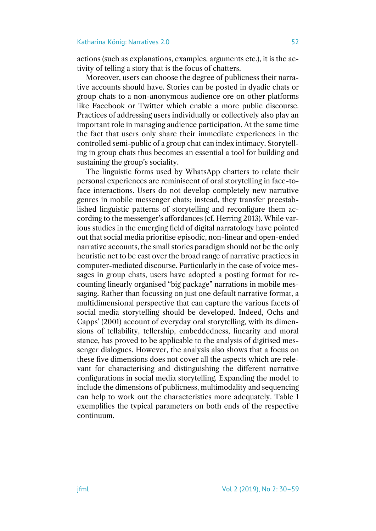actions (such as explanations, examples, arguments etc.), it is the activity of telling a story that is the focus of chatters.

Moreover, users can choose the degree of publicness their narrative accounts should have. Stories can be posted in dyadic chats or group chats to a non-anonymous audience ore on other platforms like Facebook or Twitter which enable a more public discourse. Practices of addressing users individually or collectively also play an important role in managing audience participation. At the same time the fact that users only share their immediate experiences in the controlled semi-public of a group chat can index intimacy. Storytelling in group chats thus becomes an essential a tool for building and sustaining the group's sociality.

The linguistic forms used by WhatsApp chatters to relate their personal experiences are reminiscent of oral storytelling in face-toface interactions. Users do not develop completely new narrative genres in mobile messenger chats; instead, they transfer preestablished linguistic patterns of storytelling and reconfigure them according to the messenger's affordances (cf. Herring 2013). While various studies in the emerging field of digital narratology have pointed out that social media prioritise episodic, non-linear and open-ended narrative accounts, the small stories paradigm should not be the only heuristic net to be cast over the broad range of narrative practices in computer-mediated discourse. Particularly in the case of voice messages in group chats, users have adopted a posting format for recounting linearly organised "big package" narrations in mobile messaging. Rather than focussing on just one default narrative format, a multidimensional perspective that can capture the various facets of social media storytelling should be developed. Indeed, Ochs and Capps' (2001) account of everyday oral storytelling, with its dimensions of tellability, tellership, embeddedness, linearity and moral stance, has proved to be applicable to the analysis of digitised messenger dialogues. However, the analysis also shows that a focus on these five dimensions does not cover all the aspects which are relevant for characterising and distinguishing the different narrative configurations in social media storytelling. Expanding the model to include the dimensions of publicness, multimodality and sequencing can help to work out the characteristics more adequately. Table 1 exemplifies the typical parameters on both ends of the respective continuum.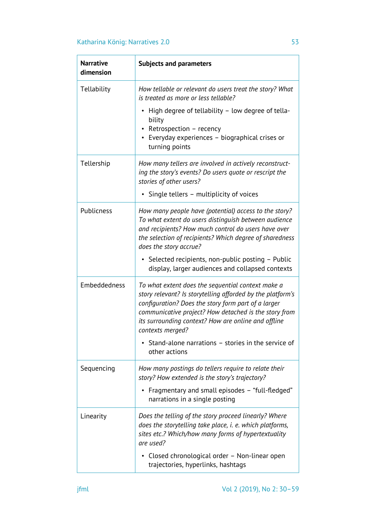| <b>Narrative</b><br>dimension | <b>Subjects and parameters</b>                                                                                                                                                                                                                                                                             |  |  |
|-------------------------------|------------------------------------------------------------------------------------------------------------------------------------------------------------------------------------------------------------------------------------------------------------------------------------------------------------|--|--|
| Tellability                   | How tellable or relevant do users treat the story? What<br>is treated as more or less tellable?                                                                                                                                                                                                            |  |  |
|                               | High degree of tellability - low degree of tella-<br>bility<br>Retrospection - recency<br>• Everyday experiences - biographical crises or<br>turning points                                                                                                                                                |  |  |
| Tellership                    | How many tellers are involved in actively reconstruct-<br>ing the story's events? Do users quote or rescript the<br>stories of other users?                                                                                                                                                                |  |  |
|                               | • Single tellers - multiplicity of voices                                                                                                                                                                                                                                                                  |  |  |
| Publicness                    | How many people have (potential) access to the story?<br>To what extent do users distinguish between audience<br>and recipients? How much control do users have over<br>the selection of recipients? Which degree of sharedness<br>does the story accrue?                                                  |  |  |
|                               | • Selected recipients, non-public posting – Public<br>display, larger audiences and collapsed contexts                                                                                                                                                                                                     |  |  |
| Embeddedness                  | To what extent does the sequential context make a<br>story relevant? Is storytelling afforded by the platform's<br>configuration? Does the story form part of a larger<br>communicative project? How detached is the story from<br>its surrounding context? How are online and offline<br>contexts merged? |  |  |
|                               | Stand-alone narrations - stories in the service of<br>other actions                                                                                                                                                                                                                                        |  |  |
| Sequencing                    | How many postings do tellers require to relate their<br>story? How extended is the story's trajectory?                                                                                                                                                                                                     |  |  |
|                               | Fragmentary and small episodes - "full-fledged"<br>narrations in a single posting                                                                                                                                                                                                                          |  |  |
| Linearity                     | Does the telling of the story proceed linearly? Where<br>does the storytelling take place, i. e. which platforms,<br>sites etc.? Which/how many forms of hypertextuality<br>are used?                                                                                                                      |  |  |
|                               | • Closed chronological order - Non-linear open<br>trajectories, hyperlinks, hashtags                                                                                                                                                                                                                       |  |  |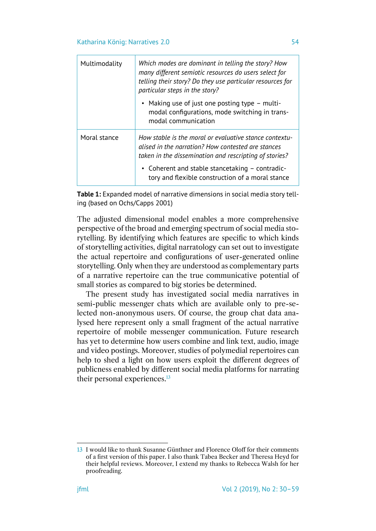| Multimodality | Which modes are dominant in telling the story? How<br>many different semiotic resources do users select for<br>telling their story? Do they use particular resources for<br>particular steps in the story? |
|---------------|------------------------------------------------------------------------------------------------------------------------------------------------------------------------------------------------------------|
|               | • Making use of just one posting type – multi-<br>modal configurations, mode switching in trans-<br>modal communication                                                                                    |
| Moral stance  | How stable is the moral or evaluative stance contextu-<br>alised in the narration? How contested are stances<br>taken in the dissemination and rescripting of stories?                                     |
|               | • Coherent and stable stancetaking $-$ contradic-<br>tory and flexible construction of a moral stance                                                                                                      |

**Table 1:** Expanded model of narrative dimensions in social media story telling (based on Ochs/Capps 2001)

The adjusted dimensional model enables a more comprehensive perspective of the broad and emerging spectrum of social media storytelling. By identifying which features are specific to which kinds of storytelling activities, digital narratology can set out to investigate the actual repertoire and configurations of user-generated online storytelling. Only when they are understood as complementary parts of a narrative repertoire can the true communicative potential of small stories as compared to big stories be determined.

The present study has investigated social media narratives in semi-public messenger chats which are available only to pre-selected non-anonymous users. Of course, the group chat data analysed here represent only a small fragment of the actual narrative repertoire of mobile messenger communication. Future research has yet to determine how users combine and link text, audio, image and video postings. Moreover, studies of polymedial repertoires can help to shed a light on how users exploit the different degrees of publicness enabled by different social media platforms for narrating their personal experiences.<sup>13</sup>

<sup>13</sup> I would like to thank Susanne Günthner and Florence Oloff for their comments of a first version of this paper. I also thank Tabea Becker and Theresa Heyd for their helpful reviews. Moreover, I extend my thanks to Rebecca Walsh for her proofreading.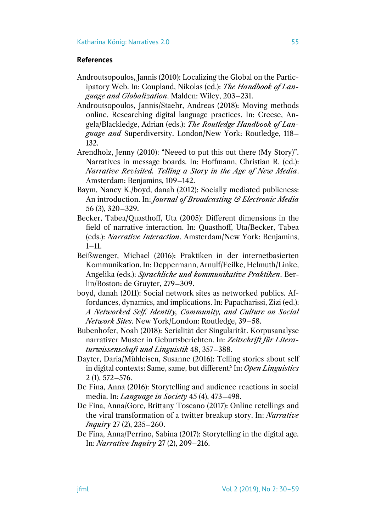### **References**

- Androutsopoulos, Jannis (2010): Localizing the Global on the Participatory Web. In: Coupland, Nikolas (ed.): *The Handbook of Language and Globalization*. Malden: Wiley, 203–231.
- Androutsopoulos, Jannis/Staehr, Andreas (2018): Moving methods online. Researching digital language practices. In: Creese, Angela/Blackledge, Adrian (eds.): *The Routledge Handbook of Language and* Superdiversity. London/New York: Routledge, 118– 132.
- Arendholz, Jenny (2010): "Neeed to put this out there (My Story)". Narratives in message boards. In: Hoffmann, Christian R. (ed.): *Narrative Revisited. Telling a Story in the Age of New Media*. Amsterdam: Benjamins, 109–142.
- Baym, Nancy K./boyd, danah (2012): Socially mediated publicness: An introduction. In: *Journal of Broadcasting & Electronic Media*  56 (3), 320–329.
- Becker, Tabea/Quasthoff, Uta (2005): Different dimensions in the field of narrative interaction. In: Quasthoff, Uta/Becker, Tabea (eds.): *Narrative Interaction*. Amsterdam/New York: Benjamins,  $1 - 11$ .
- Beißwenger, Michael (2016): Praktiken in der internetbasierten Kommunikation. In: Deppermann, Arnulf/Feilke, Helmuth/Linke, Angelika (eds.): *Sprachliche und kommunikative Praktiken*. Berlin/Boston: de Gruyter, 279–309.
- boyd, danah (2011): Social network sites as networked publics. Affordances, dynamics, and implications. In: Papacharissi, Zizi (ed.): *A Networked Self. Identity, Community, and Culture on Social Network Sites*. New York/London: Routledge, 39–58.
- Bubenhofer, Noah (2018): Serialität der Singularität. Korpusanalyse narrativer Muster in Geburtsberichten. In: *Zeitschrift für Literaturwissenschaft und Linguistik* 48, 357–388.
- Dayter, Daria/Mühleisen, Susanne (2016): Telling stories about self in digital contexts: Same, same, but different? In: *Open Linguistics*  2 (1), 572–576.
- De Fina, Anna (2016): Storytelling and audience reactions in social media. In: *Language in Society* 45 (4), 473–498.
- De Fina, Anna/Gore, Brittany Toscano (2017): Online retellings and the viral transformation of a twitter breakup story. In: *Narrative Inquiry* 27 (2), 235–260.
- De Fina, Anna/Perrino, Sabina (2017): Storytelling in the digital age. In: *Narrative Inquiry* 27 (2), 209–216.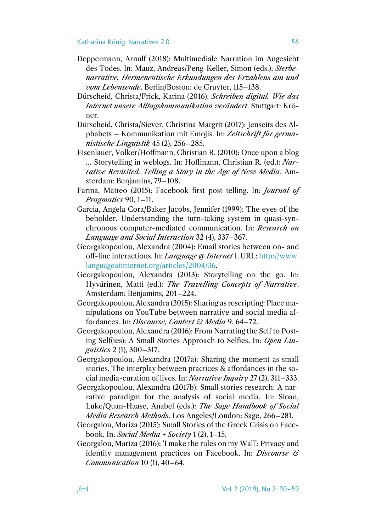- Deppermann, Arnulf (2018): Multimediale Narration im Angesicht des Todes. In: Mauz, Andreas/Peng-Keller, Simon (eds.): *Sterbenarrative. Hermeneutische Erkundungen des Erzählens am und vom Lebensende*. Berlin/Boston: de Gruyter, 115–138.
- Dürscheid, Christa/Frick, Karina (2016): *Schreiben digital. Wie das Internet unsere Alltagskommunikation verändert*. Stuttgart: Kröner.
- Dürscheid, Christa/Siever, Christina Margrit (2017): Jenseits des Alphabets – Kommunikation mit Emojis. In: *Zeitschrift für germanistische Linguistik* 45 (2), 256–285.
- Eisenlauer, Volker/Hoffmann, Christian R. (2010): Once upon a blog … Storytelling in weblogs. In: Hoffmann, Christian R. (ed.): *Narrative Revisited. Telling a Story in the Age of New Media*. Amsterdam: Benjamins, 79–108.
- Farina, Matteo (2015): Facebook first post telling. In: *Journal of Pragmatics* 90, 1–11.
- Garcia, Angela Cora/Baker Jacobs, Jennifer (1999): The eyes of the beholder. Understanding the turn-taking system in quasi-synchronous computer-mediated communication. In: *Research on Language and Social Interaction* 32 (4), 337–367.
- Georgakopoulou, Alexandra (2004): Email stories between on- and off-line interactions. In: *Language @ Internet* 1. URL: [http://www.](http://www.languageatinternet.org/articles/2004/36) [languageatinternet.org/articles/2004/36.](http://www.languageatinternet.org/articles/2004/36)
- Georgakopoulou, Alexandra (2013): Storytelling on the go. In: Hyvärinen, Matti (ed.): *The Travelling Concepts of Narrative*. Amsterdam: Benjamins, 201–224.
- Georgakopoulou, Alexandra (2015): Sharing as rescripting: Place manipulations on YouTube between narrative and social media affordances. In: *Discourse, Context & Media* 9, 64–72.
- Georgakopoulou, Alexandra (2016): From Narrating the Self to Posting Self(ies): A Small Stories Approach to Selfies. In: *Open Linguistics* 2 (1), 300–317.
- Georgakopoulou, Alexandra (2017a): Sharing the moment as small stories. The interplay between practices & affordances in the social media-curation of lives. In: *Narrative Inquiry* 27 (2), 311–333.
- Georgakopoulou, Alexandra (2017b): Small stories research: A narrative paradigm for the analysis of social media. In: Sloan, Luke/Quan-Haase, Anabel (eds.): *The Sage Handbook of Social Media Research Methods*. Los Angeles/London: Sage, 266–281.
- Georgalou, Mariza (2015): Small Stories of the Greek Crisis on Facebook. In: *Social Media + Society* 1 (2), 1–15.
- Georgalou, Mariza (2016): 'I make the rules on my Wall': Privacy and identity management practices on Facebook. In: *Discourse & Communication* 10 (1), 40–64.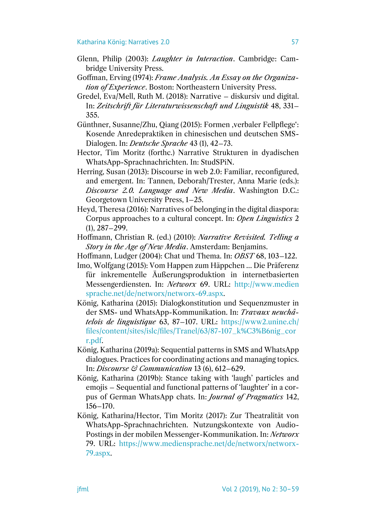- Glenn, Philip (2003): *Laughter in Interaction*. Cambridge: Cambridge University Press.
- Goffman, Erving (1974): *Frame Analysis. An Essay on the Organization of Experience*. Boston: Northeastern University Press.
- Gredel, Eva/Mell, Ruth M. (2018): Narrative diskursiv und digital. In: *Zeitschrift für Literaturwissenschaft und Linguistik* 48, 331– 355.
- Günthner, Susanne/Zhu, Qiang (2015): Formen , verbaler Fellpflege': Kosende Anredepraktiken in chinesischen und deutschen SMS-Dialogen. In: *Deutsche Sprache* 43 (1), 42–73.
- Hector, Tim Moritz (forthc.) Narrative Strukturen in dyadischen WhatsApp-Sprachnachrichten. In: StudSPiN.
- Herring, Susan (2013): Discourse in web 2.0: Familiar, reconfigured, and emergent. In: Tannen, Deborah/Trester, Anna Marie (eds.): *Discourse 2.0. Language and New Media*. Washington D.C.: Georgetown University Press, 1–25.
- Heyd, Theresa (2016): Narratives of belonging in the digital diaspora: Corpus approaches to a cultural concept. In: *Open Linguistics* 2 (1), 287–299.
- Hoffmann, Christian R. (ed.) (2010): *Narrative Revisited. Telling a Story in the Age of New Media*. Amsterdam: Benjamins.
- Hoffmann, Ludger (2004): Chat und Thema. In: *OBST* 68, 103–122.
- Imo, Wolfgang (2015): Vom Happen zum Häppchen … Die Präferenz für inkrementelle Äußerungsproduktion in internetbasierten Messengerdiensten. In: *Networx* 69. URL: [http://www.medien](http://www.mediensprache.net/de/networx/networx-69.aspx) [sprache.net/de/networx/networx-69.aspx.](http://www.mediensprache.net/de/networx/networx-69.aspx)
- König, Katharina (2015): Dialogkonstitution und Sequenzmuster in der SMS- und WhatsApp-Kommunikation. In: *Travaux neuchâtelois de linguistique* 63, 87–107. URL: [https://www2.unine.ch/](https://www2.unine.ch/files/content/sites/islc/files/Tranel/63/87-107_k%C3%B6nig_corr.pdf) [files/content/sites/islc/files/Tranel/63/87-107\\_k%C3%B6nig\\_cor](https://www2.unine.ch/files/content/sites/islc/files/Tranel/63/87-107_k%C3%B6nig_corr.pdf) [r.pdf.](https://www2.unine.ch/files/content/sites/islc/files/Tranel/63/87-107_k%C3%B6nig_corr.pdf)
- König, Katharina (2019a): Sequential patterns in SMS and WhatsApp dialogues. Practices for coordinating actions and managing topics. In: *Discourse & Communication* 13 (6), 612–629.
- König, Katharina (2019b): Stance taking with 'laugh' particles and emojis – Sequential and functional patterns of 'laughter' in a corpus of German WhatsApp chats. In: *Journal of Pragmatics* 142, 156–170.
- König, Katharina/Hector, Tim Moritz (2017): Zur Theatralität von WhatsApp-Sprachnachrichten. Nutzungskontexte von Audio-Postings in der mobilen Messenger-Kommunikation. In: *Networx*  79. URL: [https://www.mediensprache.net/de/networx/networx-](https://www.mediensprache.net/de/networx/networx-79.aspx)[79.aspx.](https://www.mediensprache.net/de/networx/networx-79.aspx)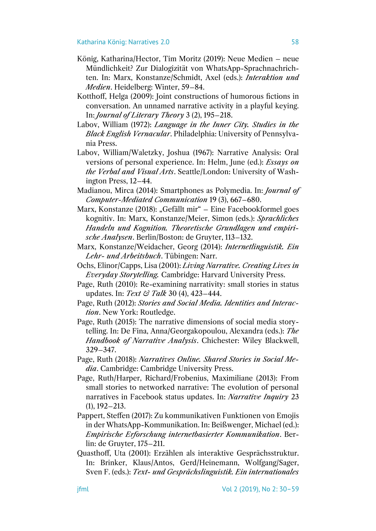- König, Katharina/Hector, Tim Moritz (2019): Neue Medien neue Mündlichkeit? Zur Dialogizität von WhatsApp-Sprachnachrichten. In: Marx, Konstanze/Schmidt, Axel (eds.): *Interaktion und Medien*. Heidelberg: Winter, 59–84.
- Kotthoff, Helga (2009): Joint constructions of humorous fictions in conversation. An unnamed narrative activity in a playful keying. In: *Journal of Literary Theory* 3 (2), 195–218.
- Labov, William (1972): *Language in the Inner City. Studies in the Black English Vernacular*. Philadelphia: University of Pennsylvania Press.
- Labov, William/Waletzky, Joshua (1967): Narrative Analysis: Oral versions of personal experience. In: Helm, June (ed.): *Essays on the Verbal and Visual Arts*. Seattle/London: University of Washington Press, 12–44.
- Madianou, Mirca (2014): Smartphones as Polymedia. In: *Journal of Computer-Mediated Communication* 19 (3), 667–680.
- Marx, Konstanze (2018): "Gefällt mir" Eine Facebookformel goes kognitiv. In: Marx, Konstanze/Meier, Simon (eds.): *Sprachliches Handeln und Kognition. Theoretische Grundlagen und empirische Analysen*. Berlin/Boston: de Gruyter, 113–132.
- Marx, Konstanze/Weidacher, Georg (2014): *Internetlinguistik. Ein Lehr- und Arbeitsbuch*. Tübingen: Narr.
- Ochs, Elinor/Capps, Lisa (2001): *Living Narrative. Creating Lives in Everyday Storytelling.* Cambridge: Harvard University Press.
- Page, Ruth (2010): Re-examining narrativity: small stories in status updates. In: *Text & Talk* 30 (4), 423–444.
- Page, Ruth (2012): *Stories and Social Media. Identities and Interaction*. New York: Routledge.
- Page, Ruth (2015): The narrative dimensions of social media storytelling. In: De Fina, Anna/Georgakopoulou, Alexandra (eds.): *The Handbook of Narrative Analysis*. Chichester: Wiley Blackwell, 329–347.
- Page, Ruth (2018): *Narratives Online. Shared Stories in Social Media*. Cambridge: Cambridge University Press.
- Page, Ruth/Harper, Richard/Frobenius, Maximiliane (2013): From small stories to networked narrative: The evolution of personal narratives in Facebook status updates. In: *Narrative Inquiry* 23 (1), 192–213.
- Pappert, Steffen (2017): Zu kommunikativen Funktionen von Emojis in der WhatsApp-Kommunikation. In: Beißwenger, Michael (ed.): *Empirische Erforschung internetbasierter Kommunikation*. Berlin: de Gruyter, 175–211.
- Quasthoff, Uta (2001): Erzählen als interaktive Gesprächsstruktur. In: Brinker, Klaus/Antos, Gerd/Heinemann, Wolfgang/Sager, Sven F. (eds.): *Text- und Gesprächslinguistik. Ein internationales*